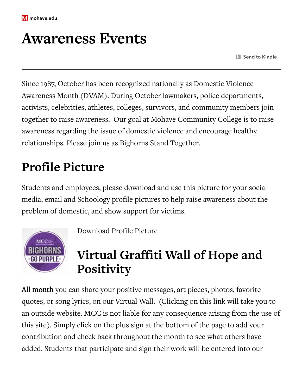

## **Awareness Events**

**Send to Kindle** 

Since 1987, October has been recognized nationally as Domestic Violence Awareness Month (DVAM). During October lawmakers, police departments, activists, celebrities, athletes, colleges, survivors, and community members join together to raise awareness. Our goal at Mohave Community College is to raise awareness regarding the issue of domestic violence and encourage healthy relationships. Please join us as Bighorns Stand Together.

## **Profile Picture**

Students and employees, please download and use this picture for your social media, email and Schoology profile pictures to help raise awareness about the problem of domestic, and show support for victims.



Download [Profile Picture](https://www.mohave.edu/assets/Gopurple_ProfilePic_large.jpg)

#### **Virtual Graffiti Wall of Hope and Positivity**

All month you can share your positive messages, art pieces, photos, favorite quotes, or song lyrics, on our [Virtual](https://padlet.com/mmartin316/4gc2x4r8qiijrh1b) Wall. (Clicking on this link will take you to an outside website. MCC is not liable for any consequence arising from the use of this site). Simply click on the plus sign at the bottom of the page to add your contribution and check back throughout the month to see what others have added. Students that participate and sign their work will be entered into our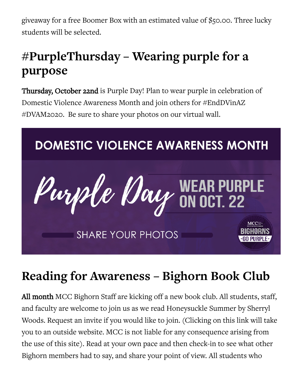giveaway for a free Boomer Box with an estimated value of \$50.00. Three lucky students will be selected.

#### **#PurpleThursday – Wearing purple for a purpose**

Thursday, October 22nd is Purple Day! Plan to wear purple in celebration of Domestic Violence Awareness Month and join others for #EndDVinAZ #DVAM2020. Be sure to share your photos on our virtual wall.



## **Reading for Awareness – Bighorn Book Club**

All month MCC Bighorn Staff are kicking off a new book club. All students, staff, and faculty are welcome to join us as we read Honeysuckle Summer by Sherryl Woods. [Request](https://bookclubz.com/clubs/16727/join/16dd2c/) an invite if you would like to join. (Clicking on this link will take you to an outside website. MCC is not liable for any consequence arising from the use of this site). Read at your own pace and then check-in to see what other Bighorn members had to say, and share your point of view. All students who